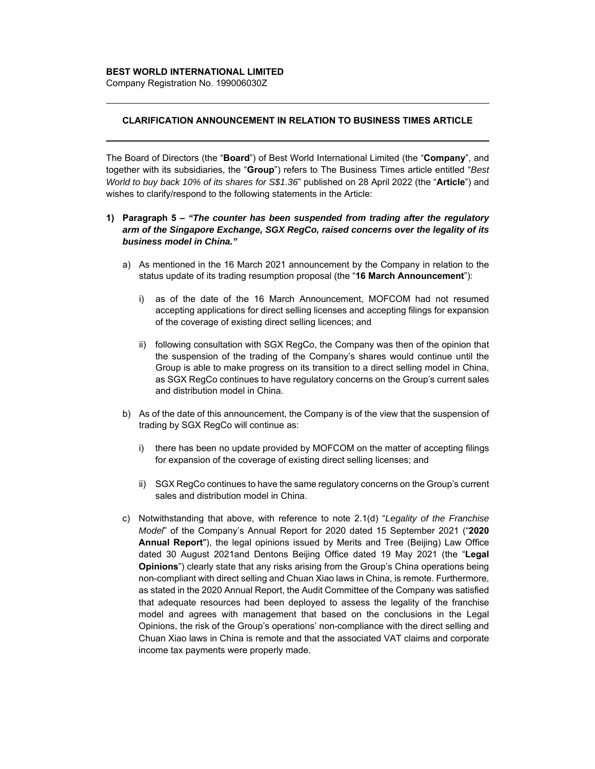## **BEST WORLD INTERNATIONAL LIMITED**

Company Registration No. 199006030Z

## **CLARIFICATION ANNOUNCEMENT IN RELATION TO BUSINESS TIMES ARTICLE**

The Board of Directors (the "**Board**") of Best World International Limited (the "**Company**", and together with its subsidiaries, the "**Group**") refers to The Business Times article entitled "*Best World to buy back 10% of its shares for S\$1.36*" published on 28 April 2022 (the "**Article**") and wishes to clarify/respond to the following statements in the Article:

## **1) Paragraph 5 –** *"The counter has been suspended from trading after the regulatory arm of the Singapore Exchange, SGX RegCo, raised concerns over the legality of its business model in China."*

- a) As mentioned in the 16 March 2021 announcement by the Company in relation to the status update of its trading resumption proposal (the "**16 March Announcement**"):
	- i) as of the date of the 16 March Announcement, MOFCOM had not resumed accepting applications for direct selling licenses and accepting filings for expansion of the coverage of existing direct selling licences; and
	- ii) following consultation with SGX RegCo, the Company was then of the opinion that the suspension of the trading of the Company's shares would continue until the Group is able to make progress on its transition to a direct selling model in China, as SGX RegCo continues to have regulatory concerns on the Group's current sales and distribution model in China.
- b) As of the date of this announcement, the Company is of the view that the suspension of trading by SGX RegCo will continue as:
	- i) there has been no update provided by MOFCOM on the matter of accepting filings for expansion of the coverage of existing direct selling licenses; and
	- ii) SGX RegCo continues to have the same regulatory concerns on the Group's current sales and distribution model in China.
- c) Notwithstanding that above, with reference to note 2.1(d) "*Legality of the Franchise Model*" of the Company's Annual Report for 2020 dated 15 September 2021 ("**2020 Annual Report**"), the legal opinions issued by Merits and Tree (Beijing) Law Office dated 30 August 2021and Dentons Beijing Office dated 19 May 2021 (the "**Legal Opinions**") clearly state that any risks arising from the Group's China operations being non-compliant with direct selling and Chuan Xiao laws in China, is remote. Furthermore, as stated in the 2020 Annual Report, the Audit Committee of the Company was satisfied that adequate resources had been deployed to assess the legality of the franchise model and agrees with management that based on the conclusions in the Legal Opinions, the risk of the Group's operations' non-compliance with the direct selling and Chuan Xiao laws in China is remote and that the associated VAT claims and corporate income tax payments were properly made.